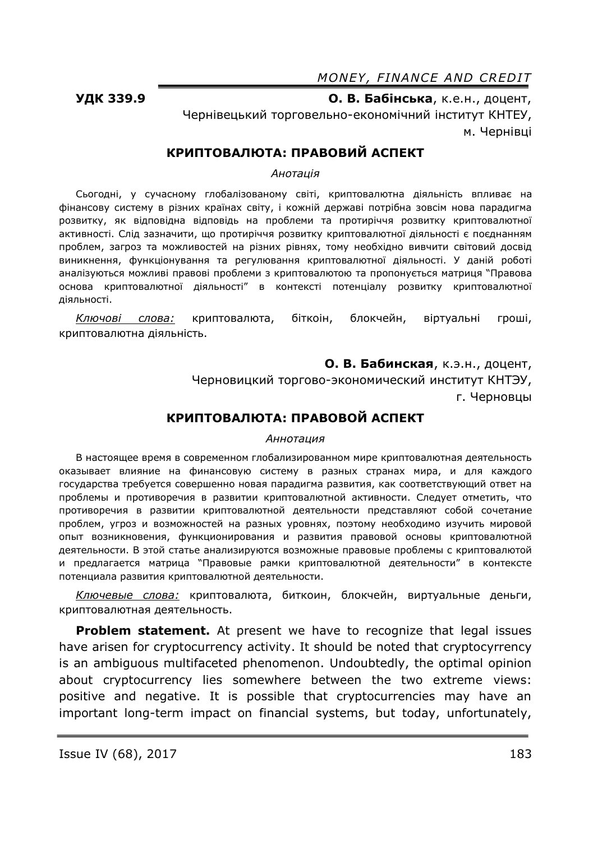*MONEY, FINANCE AND CREDIT* 

**УДК 339.9 О. В. Бабінська**, к.е.н., доцент, Чернівецький торговельно-економічний інститут КНТЕУ, м. Чернівці

## **КРИПТОВАЛЮТА: ПРАВОВИЙ АСПЕКТ**

*Анотація*

Сьогодні, у сучасному глобалізованому світі, криптовалютна діяльність впливає на фінансову систему в різних країнах світу, і кожній державі потрібна зовсім нова парадигма розвитку, як відповідна відповідь на проблеми та протиріччя розвитку криптовалютної активності. Слід зазначити, що протиріччя розвитку криптовалютної діяльності є поєднанням проблем, загроз та можливостей на різних рівнях, тому необхідно вивчити світовий досвід виникнення, функціонування та регулювання криптовалютної діяльності. У даній роботі аналізуються можливі правові проблеми з криптовалютою та пропонується матриця "Правова основа криптовалютної діяльності" в контексті потенціалу розвитку криптовалютної діяльності.

*Ключові слова:* криптовалюта, біткоін, блокчейн, вiртуальні гроші, криптовалютна діяльність.

**О. В. Бабинская**, к.э.н., доцент,

Черновицкий торгово-экономический институт КНТЭУ, г. Черновцы

### **КРИПТОВАЛЮТА: ПРАВОВОЙ АСПЕКТ**

#### *Аннотация*

В настоящее время в современном глобализированном мире криптовалютная деятельность оказывает влияние на финансовую систему в разных странах мира, и для каждого государства требуется совершенно новая парадигма развития, как соответствующий ответ на проблемы и противоречия в развитии криптовалютной активности. Следует отметить, что противоречия в развитии криптовалютной деятельности представляют собой сочетание проблем, угроз и возможностей на разных уровнях, поэтому необходимо изучить мировой опыт возникновения, функционирования и развития правовой основы криптовалютной деятельности. В этой статье анализируются возможные правовые проблемы с криптовалютой и предлагается матрица "Правовые рамки криптовалютной деятельности" в контексте потенциала развития криптовалютной деятельности.

*Ключевые слова:* криптовалюта, биткоин, блокчейн, виртуальные деньги, криптовалютная деятельность.

**Problem statement.** At present we have to recognize that legal issues have arisen for cryptocurrency activity. It should be noted that cryptocyrrency is an ambiguous multifaceted phenomenon. Undoubtedly, the optimal opinion about cryptocurrency lies somewhere between the two extreme views: positive and negative. It is possible that cryptocurrencies may have an important long-term impact on financial systems, but today, unfortunately,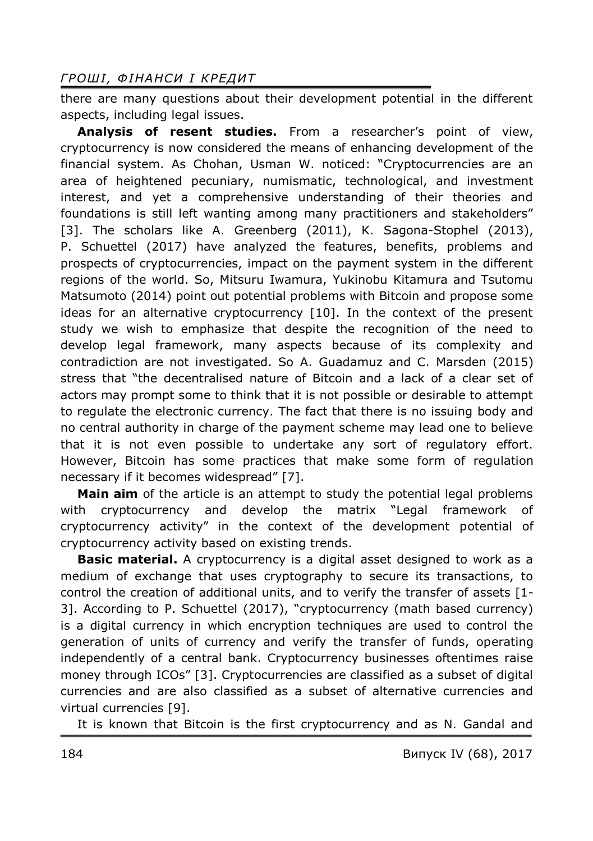## *ГРОШ І , Ф ІНАНСИ І КРЕДИТ*

there are many questions about their development potential in the different aspects, including legal issues.

**Analysis of resent studies.** From a researcher's point of view, cryptocurrency is now considered the means of enhancing development of the financial system. As Chohan, Usman W. noticed: "Cryptocurrencies are an area of heightened pecuniary, numismatic, technological, and investment interest, and yet a comprehensive understanding of their theories and foundations is still left wanting among many practitioners and stakeholders" [3]. The scholars like A. Greenberg (2011), K. Sagona-Stophel (2013), P. Schuettel (2017) have analyzed the features, benefits, problems and prospects of cryptocurrencies, impact on the payment system in the different regions of the world. So, Mitsuru Iwamura, Yukinobu Kitamura and Tsutomu Matsumoto (2014) point out potential problems with Bitcoin and propose some ideas for an alternative cryptocurrency [10]. In the context of the present study we wish to emphasize that despite the recognition of the need to develop legal framework, many aspects because of its complexity and contradiction are not investigated. So A. Guadamuz and C. Marsden (2015) stress that "the decentralised nature of Bitcoin and a lack of a clear set of actors may prompt some to think that it is not possible or desirable to attempt to regulate the electronic currency. The fact that there is no issuing body and no central authority in charge of the payment scheme may lead one to believe that it is not even possible to undertake any sort of regulatory effort. However, Bitcoin has some practices that make some form of regulation necessary if it becomes widespread" [7].

**Main aim** of the article is an attempt to study the potential legal problems with cryptocurrency and develop the matrix "Legal framework of cryptocurrency activity" in the context of the development potential of cryptocurrency activity based on existing trends.

**Basic material.** A cryptocurrency is a digital asset designed to work as a medium of exchange that uses cryptography to secure its transactions, to control the creation of additional units, and to verify the transfer of assets [1- 3]. According to P. Schuettel (2017), "cryptocurrency (math based currency) is a digital currency in which encryption techniques are used to control the generation of units of currency and verify the transfer of funds, operating independently of a central bank. Cryptocurrency businesses oftentimes raise money through ICOs" [3]. Cryptocurrencies are classified as a subset of digital currencies and are also classified as a subset of alternative currencies and virtual currencies [9].

It is known that Bitcoin is the first cryptocurrency and as N. Gandal and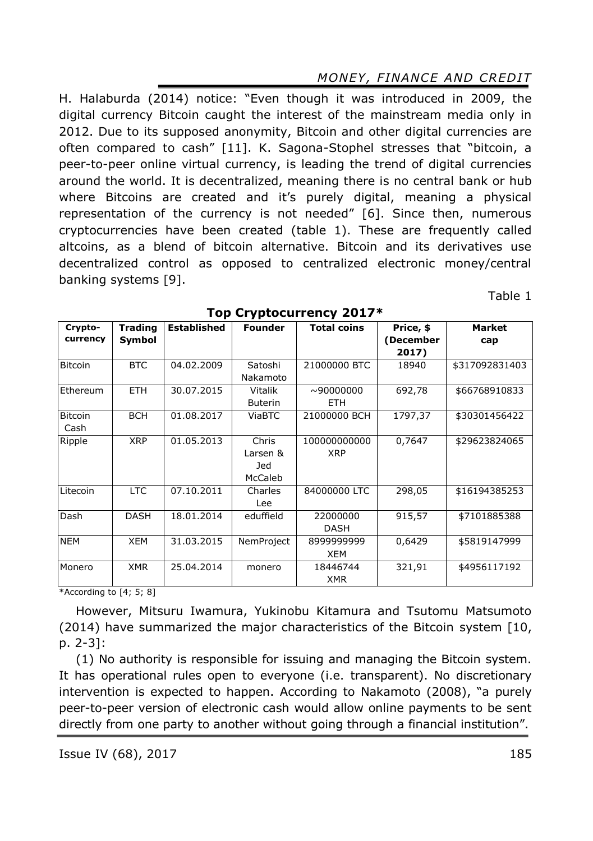# *MONEY, FINANCE AND CREDIT*

H. Halaburda (2014) notice: "Even though it was introduced in 2009, the digital currency Bitcoin caught the interest of the mainstream media only in 2012. Due to its supposed anonymity, Bitcoin and other digital currencies are often compared to cash" [11]. K. Sagona-Stophel stresses that "bitcoin, a peer-to-peer online virtual currency, is leading the trend of digital currencies around the world. It is decentralized, meaning there is no central bank or hub where Bitcoins are created and it's purely digital, meaning a physical representation of the currency is not needed" [6]. Since then, numerous cryptocurrencies have been created (table 1). These are frequently called altcoins, as a blend of bitcoin alternative. Bitcoin and its derivatives use decentralized control as opposed to centralized electronic money/central banking systems [9].

| Crypto-        | <b>Trading</b> | <b>Established</b> | <b>Founder</b> | <b>Total coins</b> | Price, \$ | Market         |
|----------------|----------------|--------------------|----------------|--------------------|-----------|----------------|
| currency       | Symbol         |                    |                |                    | December) | cap            |
|                |                |                    |                |                    | 2017)     |                |
|                |                |                    |                |                    |           |                |
| <b>Bitcoin</b> | <b>BTC</b>     | 04.02.2009         | Satoshi        | 21000000 BTC       | 18940     | \$317092831403 |
|                |                |                    | Nakamoto       |                    |           |                |
| Ethereum       | <b>ETH</b>     | 30.07.2015         | <b>Vitalik</b> | $\sim$ 90000000    | 692,78    | \$66768910833  |
|                |                |                    | <b>Buterin</b> | <b>ETH</b>         |           |                |
| <b>Bitcoin</b> | <b>BCH</b>     | 01.08.2017         | <b>ViaBTC</b>  | 21000000 BCH       | 1797,37   | \$30301456422  |
| Cash           |                |                    |                |                    |           |                |
| Ripple         | <b>XRP</b>     | 01.05.2013         | Chris          | 100000000000       | 0,7647    | \$29623824065  |
|                |                |                    | Larsen &       | <b>XRP</b>         |           |                |
|                |                |                    | Jed            |                    |           |                |
|                |                |                    | McCaleb        |                    |           |                |
| Litecoin       | <b>LTC</b>     | 07.10.2011         | Charles        | 84000000 LTC       | 298,05    | \$16194385253  |
|                |                |                    | Lee            |                    |           |                |
| Dash           | <b>DASH</b>    | 18.01.2014         | eduffield      | 22000000           | 915,57    | \$7101885388   |
|                |                |                    |                | <b>DASH</b>        |           |                |
| <b>NEM</b>     | <b>XEM</b>     | 31.03.2015         | NemProject     | 899999999          | 0,6429    | \$5819147999   |
|                |                |                    |                | XEM                |           |                |
| Monero         | <b>XMR</b>     | 25.04.2014         | monero         | 18446744           | 321,91    | \$4956117192   |
|                |                |                    |                | <b>XMR</b>         |           |                |

### **Top Cryptocurrency 2017\***

\*According to [4; 5; 8]

However, Mitsuru Iwamura, Yukinobu Kitamura and Tsutomu Matsumoto (2014) have summarized the major characteristics of the Bitcoin system [10, p. 2-3]:

(1) No authority is responsible for issuing and managing the Bitcoin system. It has operational rules open to everyone (i.e. transparent). No discretionary intervention is expected to happen. According to Nakamoto (2008), "a purely peer-to-peer version of electronic cash would allow online payments to be sent directly from one party to another without going through a financial institution".

Table 1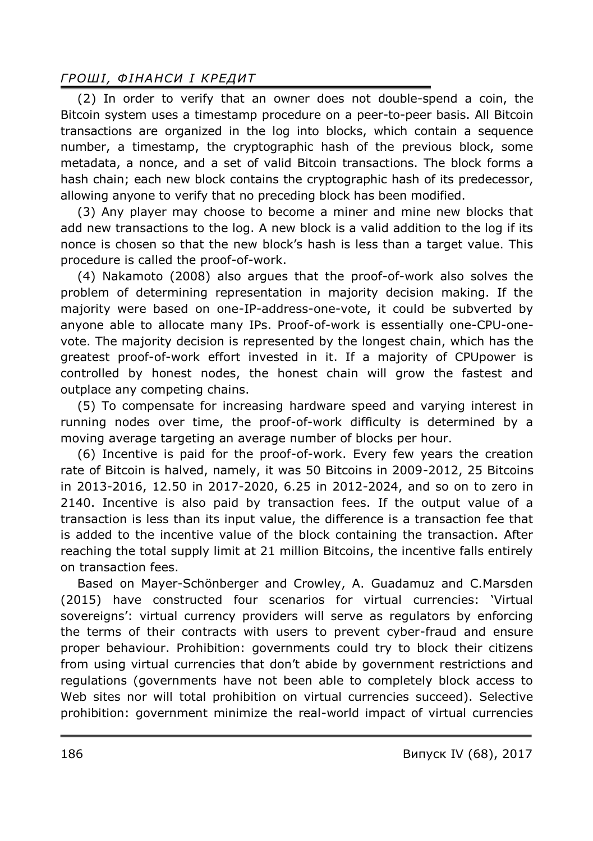## *ГРОШ І , Ф ІНАНСИ І КРЕДИТ*

(2) In order to verify that an owner does not double-spend a coin, the Bitcoin system uses a timestamp procedure on a peer-to-peer basis. All Bitcoin transactions are organized in the log into blocks, which contain a sequence number, a timestamp, the cryptographic hash of the previous block, some metadata, a nonce, and a set of valid Bitcoin transactions. The block forms a hash chain; each new block contains the cryptographic hash of its predecessor, allowing anyone to verify that no preceding block has been modified.

(3) Any player may choose to become a miner and mine new blocks that add new transactions to the log. A new block is a valid addition to the log if its nonce is chosen so that the new block's hash is less than a target value. This procedure is called the proof-of-work.

(4) Nakamoto (2008) also argues that the proof-of-work also solves the problem of determining representation in majority decision making. If the majority were based on one-IP-address-one-vote, it could be subverted by anyone able to allocate many IPs. Proof-of-work is essentially one-CPU-onevote. The majority decision is represented by the longest chain, which has the greatest proof-of-work effort invested in it. If a majority of CPUpower is controlled by honest nodes, the honest chain will grow the fastest and outplace any competing chains.

(5) To compensate for increasing hardware speed and varying interest in running nodes over time, the proof-of-work difficulty is determined by a moving average targeting an average number of blocks per hour.

(6) Incentive is paid for the proof-of-work. Every few years the creation rate of Bitcoin is halved, namely, it was 50 Bitcoins in 2009-2012, 25 Bitcoins in 2013-2016, 12.50 in 2017-2020, 6.25 in 2012-2024, and so on to zero in 2140. Incentive is also paid by transaction fees. If the output value of a transaction is less than its input value, the difference is a transaction fee that is added to the incentive value of the block containing the transaction. After reaching the total supply limit at 21 million Bitcoins, the incentive falls entirely on transaction fees.

Based on Mayer-Schönberger and Crowley, A. Guadamuz and C.Marsden (2015) have constructed four scenarios for virtual currencies: 'Virtual sovereigns': virtual currency providers will serve as regulators by enforcing the terms of their contracts with users to prevent cyber-fraud and ensure proper behaviour. Prohibition: governments could try to block their citizens from using virtual currencies that don't abide by government restrictions and regulations (governments have not been able to completely block access to Web sites nor will total prohibition on virtual currencies succeed). Selective prohibition: government minimize the real-world impact of virtual currencies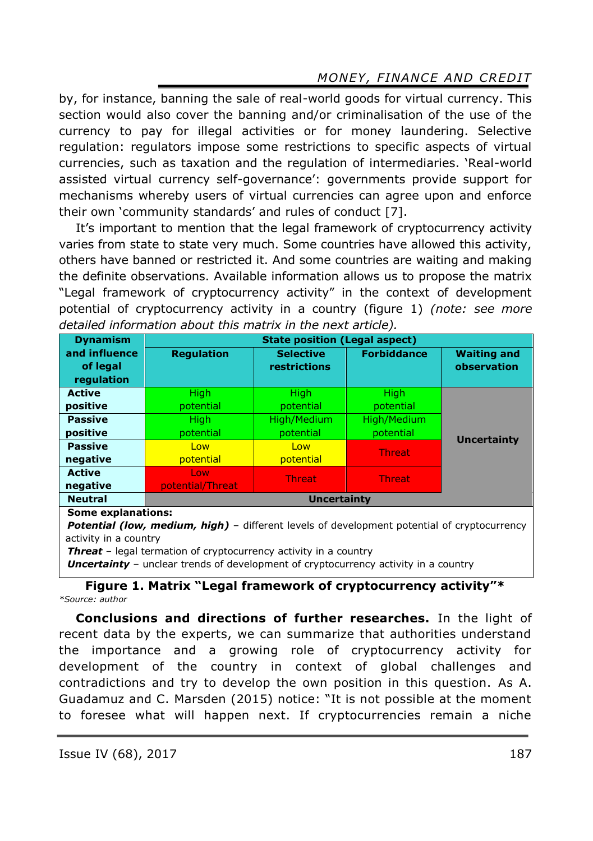# *MONEY, FINANCE AND CREDIT*

by, for instance, banning the sale of real-world goods for virtual currency. This section would also cover the banning and/or criminalisation of the use of the currency to pay for illegal activities or for money laundering. Selective regulation: regulators impose some restrictions to specific aspects of virtual currencies, such as taxation and the regulation of intermediaries. 'Real-world assisted virtual currency self-governance': governments provide support for mechanisms whereby users of virtual currencies can agree upon and enforce their own 'community standards' and rules of conduct [7].

It's important to mention that the legal framework of cryptocurrency activity varies from state to state very much. Some countries have allowed this activity, others have banned or restricted it. And some countries are waiting and making the definite observations. Available information allows us to propose the matrix "Legal framework of cryptocurrency activity" in the context of development potential of cryptocurrency activity in a country (figure 1) *(note: see more detailed information about this matrix in the next article).*

| <b>Dynamism</b>                         | <b>State position (Legal aspect)</b> |                                  |                    |                                   |  |  |  |
|-----------------------------------------|--------------------------------------|----------------------------------|--------------------|-----------------------------------|--|--|--|
| and influence<br>of legal<br>regulation | <b>Regulation</b>                    | <b>Selective</b><br>restrictions | <b>Forbiddance</b> | <b>Waiting and</b><br>observation |  |  |  |
| <b>Active</b>                           | High                                 | High                             | <b>High</b>        |                                   |  |  |  |
| positive                                | potential                            | potential                        | potential          |                                   |  |  |  |
| <b>Passive</b>                          | High                                 | High/Medium                      | High/Medium        |                                   |  |  |  |
| positive                                | potential                            | potential                        | potential          | <b>Uncertainty</b>                |  |  |  |
| <b>Passive</b>                          | Low                                  | Low                              | <b>Threat</b>      |                                   |  |  |  |
| negative                                | potential                            | potential                        |                    |                                   |  |  |  |
| <b>Active</b>                           | Low                                  | <b>Threat</b>                    | <b>Threat</b>      |                                   |  |  |  |
| negative                                | potential/Threat                     |                                  |                    |                                   |  |  |  |
| <b>Neutral</b>                          | <b>Uncertainty</b>                   |                                  |                    |                                   |  |  |  |
| <b>Some explanations:</b>               |                                      |                                  |                    |                                   |  |  |  |

**Potential (low, medium, high)** – different levels of development potential of cryptocurrency activity in a country

*Threat* – legal termation of cryptocurrency activity in a country

**Uncertainty** - unclear trends of development of cryptocurrency activity in a country

**Figure 1. Matrix "Legal framework of cryptocurrency activity"\*** *\*Source: author*

**Conclusions and directions of further researches.** In the light of recent data by the experts, we can summarize that authorities understand the importance and a growing role of cryptocurrency activity for development of the country in context of global challenges and contradictions and try to develop the own position in this question. As A. Guadamuz and C. Marsden (2015) notice: "It is not possible at the moment to foresee what will happen next. If cryptocurrencies remain a niche